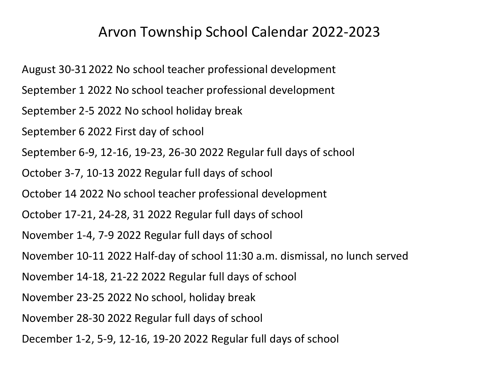## Arvon Township School Calendar 2022-2023

August 30-31 2022 No school teacher professional development September 1 2022 No school teacher professional development September 2-5 2022 No school holiday break September 6 2022 First day of school September 6-9, 12-16, 19-23, 26-30 2022 Regular full days of school October 3-7, 10-13 2022 Regular full days of school October 14 2022 No school teacher professional development October 17-21, 24-28, 31 2022 Regular full days of school November 1-4, 7-9 2022 Regular full days of school November 10-11 2022 Half-day of school 11:30 a.m. dismissal, no lunch served November 14-18, 21-22 2022 Regular full days of school November 23-25 2022 No school, holiday break November 28-30 2022 Regular full days of school December 1-2, 5-9, 12-16, 19-20 2022 Regular full days of school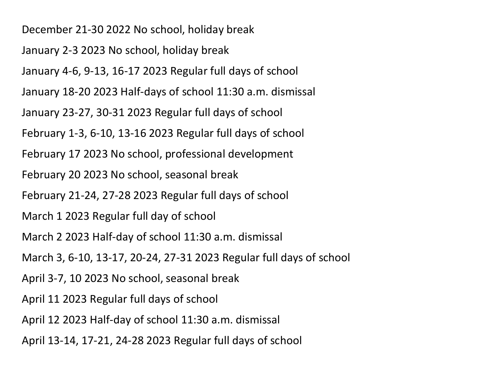December 21-30 2022 No school, holiday break

January 2-3 2023 No school, holiday break

January 4-6, 9-13, 16-17 2023 Regular full days of school

January 18-20 2023 Half-days of school 11:30 a.m. dismissal

January 23-27, 30-31 2023 Regular full days of school

February 1-3, 6-10, 13-16 2023 Regular full days of school

February 17 2023 No school, professional development

February 20 2023 No school, seasonal break

February 21-24, 27-28 2023 Regular full days of school

March 1 2023 Regular full day of school

March 2 2023 Half-day of school 11:30 a.m. dismissal

March 3, 6-10, 13-17, 20-24, 27-31 2023 Regular full days of school

April 3-7, 10 2023 No school, seasonal break

April 11 2023 Regular full days of school

April 12 2023 Half-day of school 11:30 a.m. dismissal

April 13-14, 17-21, 24-28 2023 Regular full days of school